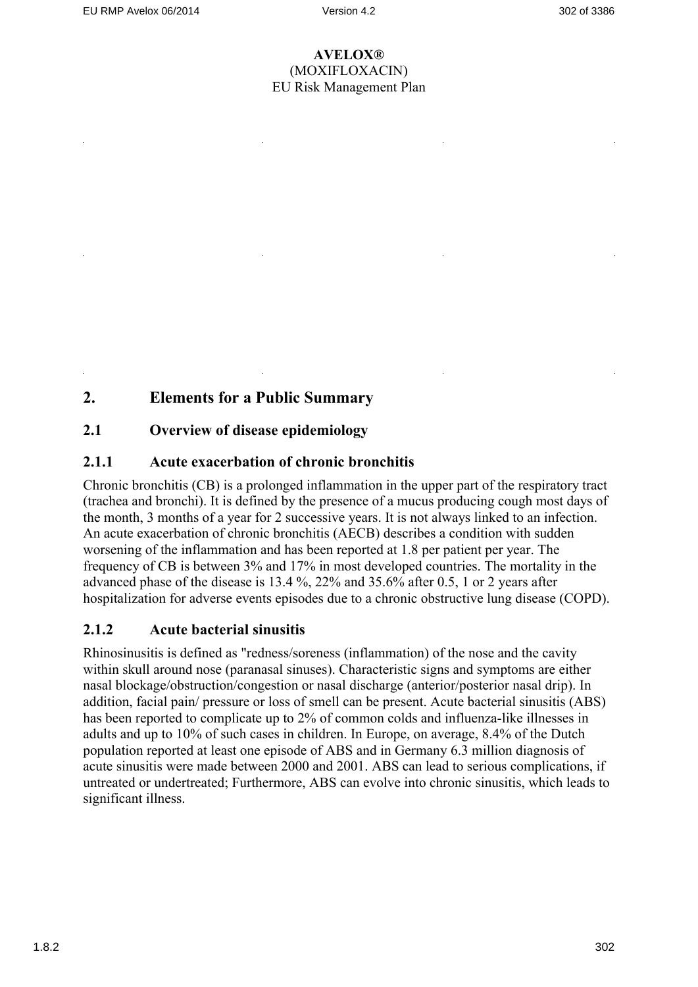# **2. Elements for a Public Summary**

## **2.1 Overview of disease epidemiology**

## **2.1.1 Acute exacerbation of chronic bronchitis**

Chronic bronchitis (CB) is a prolonged inflammation in the upper part of the respiratory tract (trachea and bronchi). It is defined by the presence of a mucus producing cough most days of the month, 3 months of a year for 2 successive years. It is not always linked to an infection. An acute exacerbation of chronic bronchitis (AECB) describes a condition with sudden worsening of the inflammation and has been reported at 1.8 per patient per year. The frequency of CB is between 3% and 17% in most developed countries. The mortality in the advanced phase of the disease is 13.4 %, 22% and 35.6% after 0.5, 1 or 2 years after hospitalization for adverse events episodes due to a chronic obstructive lung disease (COPD).

## **2.1.2 Acute bacterial sinusitis**

Rhinosinusitis is defined as "redness/soreness (inflammation) of the nose and the cavity within skull around nose (paranasal sinuses). Characteristic signs and symptoms are either nasal blockage/obstruction/congestion or nasal discharge (anterior/posterior nasal drip). In addition, facial pain/ pressure or loss of smell can be present. Acute bacterial sinusitis (ABS) has been reported to complicate up to 2% of common colds and influenza-like illnesses in adults and up to 10% of such cases in children. In Europe, on average, 8.4% of the Dutch population reported at least one episode of ABS and in Germany 6.3 million diagnosis of acute sinusitis were made between 2000 and 2001. ABS can lead to serious complications, if untreated or undertreated; Furthermore, ABS can evolve into chronic sinusitis, which leads to significant illness.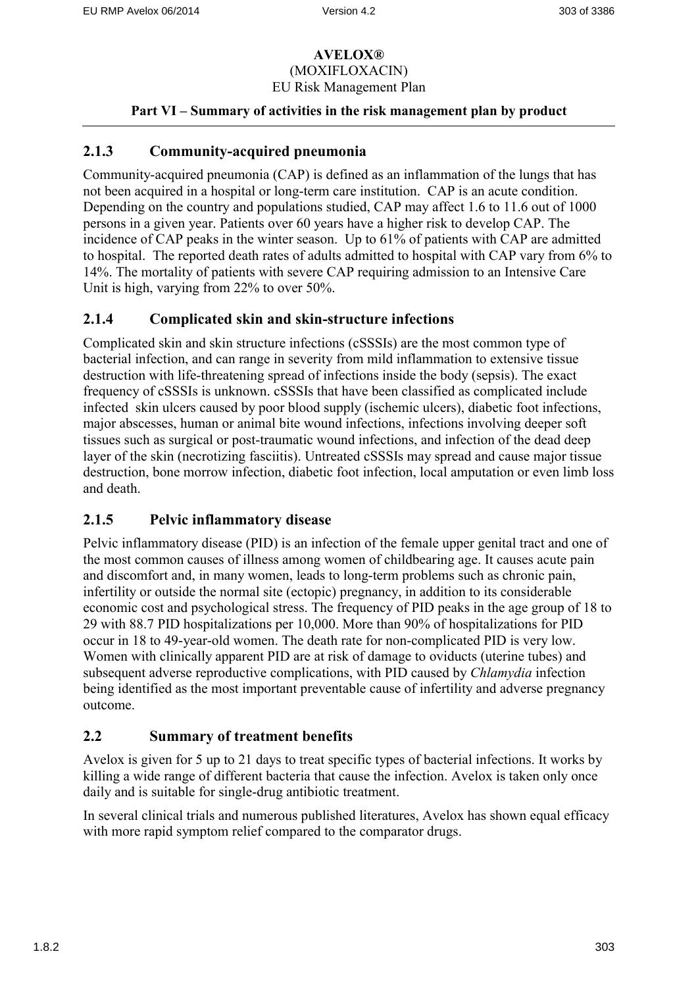### **Part VI – Summary of activities in the risk management plan by product**

## **2.1.3 Community-acquired pneumonia**

Community-acquired pneumonia (CAP) is defined as an inflammation of the lungs that has not been acquired in a hospital or long-term care institution. CAP is an acute condition. Depending on the country and populations studied, CAP may affect 1.6 to 11.6 out of 1000 persons in a given year. Patients over 60 years have a higher risk to develop CAP. The incidence of CAP peaks in the winter season. Up to 61% of patients with CAP are admitted to hospital. The reported death rates of adults admitted to hospital with CAP vary from 6% to 14%. The mortality of patients with severe CAP requiring admission to an Intensive Care Unit is high, varying from 22% to over 50%.

## **2.1.4 Complicated skin and skin-structure infections**

Complicated skin and skin structure infections (cSSSIs) are the most common type of bacterial infection, and can range in severity from mild inflammation to extensive tissue destruction with life-threatening spread of infections inside the body (sepsis). The exact frequency of cSSSIs is unknown. cSSSIs that have been classified as complicated include infected skin ulcers caused by poor blood supply (ischemic ulcers), diabetic foot infections, major abscesses, human or animal bite wound infections, infections involving deeper soft tissues such as surgical or post-traumatic wound infections, and infection of the dead deep layer of the skin (necrotizing fasciitis). Untreated cSSSIs may spread and cause major tissue destruction, bone morrow infection, diabetic foot infection, local amputation or even limb loss and death.

## **2.1.5 Pelvic inflammatory disease**

Pelvic inflammatory disease (PID) is an infection of the female upper genital tract and one of the most common causes of illness among women of childbearing age. It causes acute pain and discomfort and, in many women, leads to long-term problems such as chronic pain, infertility or outside the normal site (ectopic) pregnancy, in addition to its considerable economic cost and psychological stress. The frequency of PID peaks in the age group of 18 to 29 with 88.7 PID hospitalizations per 10,000. More than 90% of hospitalizations for PID occur in 18 to 49-year-old women. The death rate for non-complicated PID is very low. Women with clinically apparent PID are at risk of damage to oviducts (uterine tubes) and subsequent adverse reproductive complications, with PID caused by *Chlamydia* infection being identified as the most important preventable cause of infertility and adverse pregnancy outcome.

### **2.2 Summary of treatment benefits**

Avelox is given for 5 up to 21 days to treat specific types of bacterial infections. It works by killing a wide range of different bacteria that cause the infection. Avelox is taken only once daily and is suitable for single-drug antibiotic treatment.

In several clinical trials and numerous published literatures, Avelox has shown equal efficacy with more rapid symptom relief compared to the comparator drugs.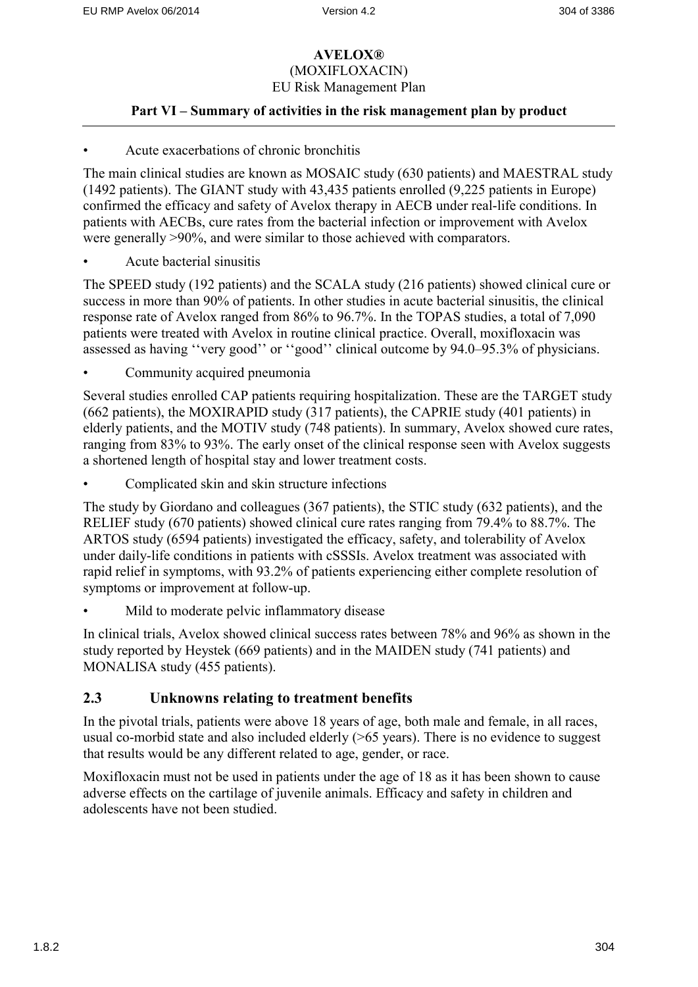### **Part VI – Summary of activities in the risk management plan by product**

#### • Acute exacerbations of chronic bronchitis

The main clinical studies are known as MOSAIC study (630 patients) and MAESTRAL study (1492 patients). The GIANT study with 43,435 patients enrolled (9,225 patients in Europe) confirmed the efficacy and safety of Avelox therapy in AECB under real-life conditions. In patients with AECBs, cure rates from the bacterial infection or improvement with Avelox were generally >90%, and were similar to those achieved with comparators.

• Acute bacterial sinusitis

The SPEED study (192 patients) and the SCALA study (216 patients) showed clinical cure or success in more than 90% of patients. In other studies in acute bacterial sinusitis, the clinical response rate of Avelox ranged from 86% to 96.7%. In the TOPAS studies, a total of 7,090 patients were treated with Avelox in routine clinical practice. Overall, moxifloxacin was assessed as having ''very good'' or ''good'' clinical outcome by 94.0–95.3% of physicians.

Community acquired pneumonia

Several studies enrolled CAP patients requiring hospitalization. These are the TARGET study (662 patients), the MOXIRAPID study (317 patients), the CAPRIE study (401 patients) in elderly patients, and the MOTIV study (748 patients). In summary, Avelox showed cure rates, ranging from 83% to 93%. The early onset of the clinical response seen with Avelox suggests a shortened length of hospital stay and lower treatment costs.

• Complicated skin and skin structure infections

The study by Giordano and colleagues (367 patients), the STIC study (632 patients), and the RELIEF study (670 patients) showed clinical cure rates ranging from 79.4% to 88.7%. The ARTOS study (6594 patients) investigated the efficacy, safety, and tolerability of Avelox under daily-life conditions in patients with cSSSIs. Avelox treatment was associated with rapid relief in symptoms, with 93.2% of patients experiencing either complete resolution of symptoms or improvement at follow-up.

Mild to moderate pelvic inflammatory disease

In clinical trials, Avelox showed clinical success rates between 78% and 96% as shown in the study reported by Heystek (669 patients) and in the MAIDEN study (741 patients) and MONALISA study (455 patients).

### **2.3 Unknowns relating to treatment benefits**

In the pivotal trials, patients were above 18 years of age, both male and female, in all races, usual co-morbid state and also included elderly (>65 years). There is no evidence to suggest that results would be any different related to age, gender, or race.

Moxifloxacin must not be used in patients under the age of 18 as it has been shown to cause adverse effects on the cartilage of juvenile animals. Efficacy and safety in children and adolescents have not been studied.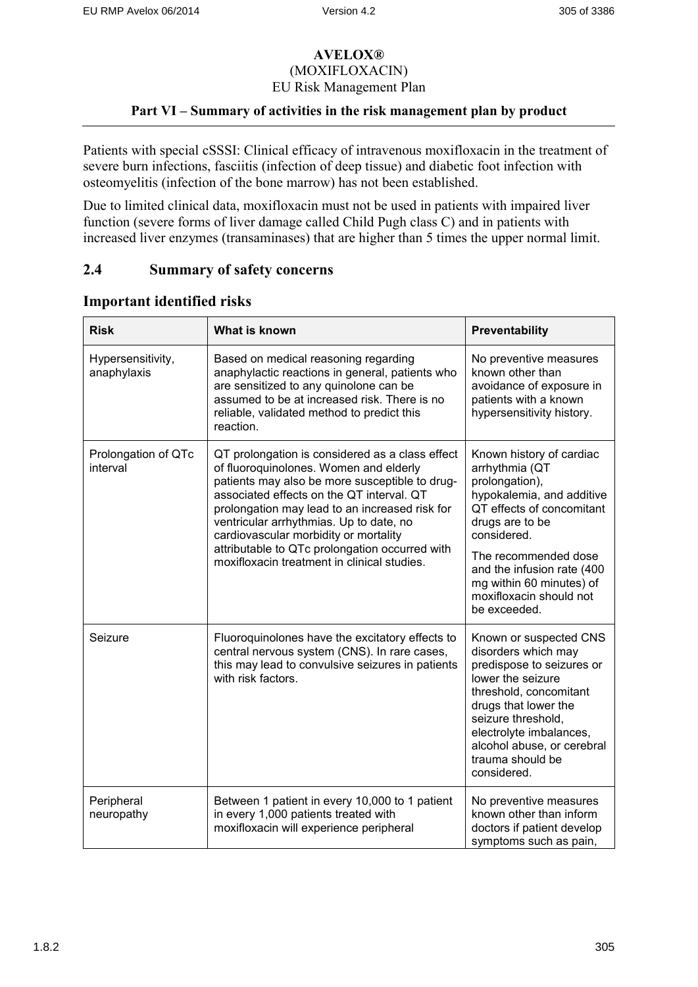### **Part VI – Summary of activities in the risk management plan by product**

Patients with special cSSSI: Clinical efficacy of intravenous moxifloxacin in the treatment of severe burn infections, fasciitis (infection of deep tissue) and diabetic foot infection with osteomyelitis (infection of the bone marrow) has not been established.

Due to limited clinical data, moxifloxacin must not be used in patients with impaired liver function (severe forms of liver damage called Child Pugh class C) and in patients with increased liver enzymes (transaminases) that are higher than 5 times the upper normal limit.

### **2.4 Summary of safety concerns**

| <b>Risk</b>                      | What is known                                                                                                                                                                                                                                                                                                                                                                                                                   | Preventability                                                                                                                                                                                                                                                                        |
|----------------------------------|---------------------------------------------------------------------------------------------------------------------------------------------------------------------------------------------------------------------------------------------------------------------------------------------------------------------------------------------------------------------------------------------------------------------------------|---------------------------------------------------------------------------------------------------------------------------------------------------------------------------------------------------------------------------------------------------------------------------------------|
| Hypersensitivity,<br>anaphylaxis | Based on medical reasoning regarding<br>anaphylactic reactions in general, patients who<br>are sensitized to any quinolone can be<br>assumed to be at increased risk. There is no<br>reliable, validated method to predict this<br>reaction.                                                                                                                                                                                    | No preventive measures<br>known other than<br>avoidance of exposure in<br>patients with a known<br>hypersensitivity history.                                                                                                                                                          |
| Prolongation of QTc<br>interval  | QT prolongation is considered as a class effect<br>of fluoroquinolones. Women and elderly<br>patients may also be more susceptible to drug-<br>associated effects on the QT interval. QT<br>prolongation may lead to an increased risk for<br>ventricular arrhythmias. Up to date, no<br>cardiovascular morbidity or mortality<br>attributable to QTc prolongation occurred with<br>moxifloxacin treatment in clinical studies. | Known history of cardiac<br>arrhythmia (QT<br>prolongation),<br>hypokalemia, and additive<br>QT effects of concomitant<br>drugs are to be<br>considered.<br>The recommended dose<br>and the infusion rate (400<br>mg within 60 minutes) of<br>moxifloxacin should not<br>be exceeded. |
| Seizure                          | Fluoroquinolones have the excitatory effects to<br>central nervous system (CNS). In rare cases,<br>this may lead to convulsive seizures in patients<br>with risk factors.                                                                                                                                                                                                                                                       | Known or suspected CNS<br>disorders which may<br>predispose to seizures or<br>lower the seizure<br>threshold, concomitant<br>drugs that lower the<br>seizure threshold,<br>electrolyte imbalances,<br>alcohol abuse, or cerebral<br>trauma should be<br>considered.                   |
| Peripheral<br>neuropathy         | Between 1 patient in every 10,000 to 1 patient<br>in every 1,000 patients treated with<br>moxifloxacin will experience peripheral                                                                                                                                                                                                                                                                                               | No preventive measures<br>known other than inform<br>doctors if patient develop<br>symptoms such as pain,                                                                                                                                                                             |

#### **Important identified risks**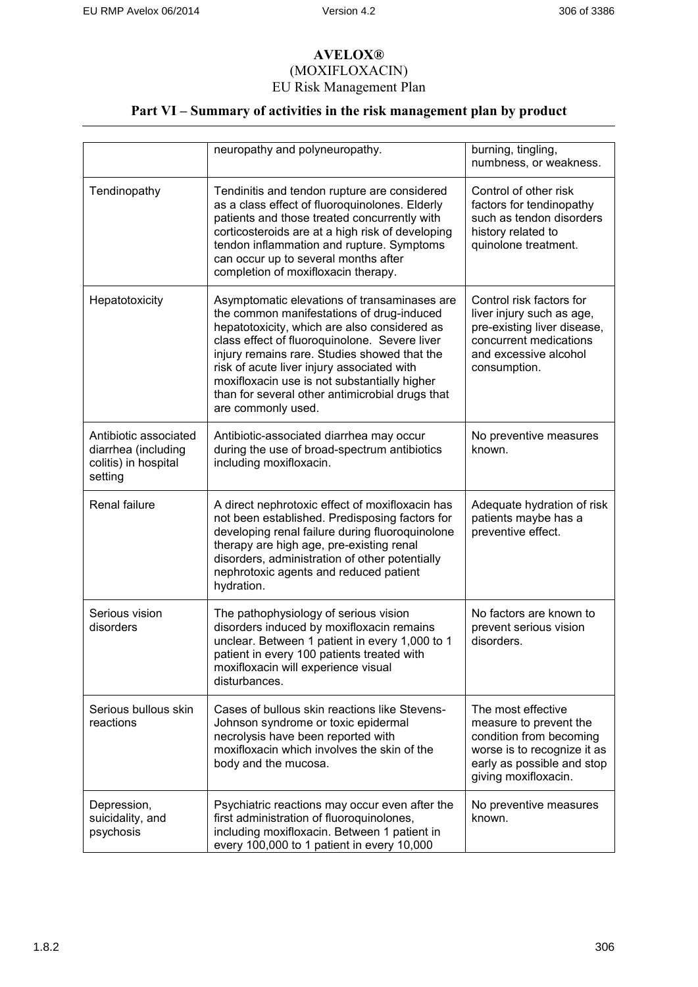# **Part VI – Summary of activities in the risk management plan by product**

|                                                                                 | neuropathy and polyneuropathy.                                                                                                                                                                                                                                                                                                                                                                                    | burning, tingling,<br>numbness, or weakness.                                                                                                                 |
|---------------------------------------------------------------------------------|-------------------------------------------------------------------------------------------------------------------------------------------------------------------------------------------------------------------------------------------------------------------------------------------------------------------------------------------------------------------------------------------------------------------|--------------------------------------------------------------------------------------------------------------------------------------------------------------|
| Tendinopathy                                                                    | Tendinitis and tendon rupture are considered<br>as a class effect of fluoroquinolones. Elderly<br>patients and those treated concurrently with<br>corticosteroids are at a high risk of developing<br>tendon inflammation and rupture. Symptoms<br>can occur up to several months after<br>completion of moxifloxacin therapy.                                                                                    | Control of other risk<br>factors for tendinopathy<br>such as tendon disorders<br>history related to<br>quinolone treatment.                                  |
| Hepatotoxicity                                                                  | Asymptomatic elevations of transaminases are<br>the common manifestations of drug-induced<br>hepatotoxicity, which are also considered as<br>class effect of fluoroquinolone. Severe liver<br>injury remains rare. Studies showed that the<br>risk of acute liver injury associated with<br>moxifloxacin use is not substantially higher<br>than for several other antimicrobial drugs that<br>are commonly used. | Control risk factors for<br>liver injury such as age,<br>pre-existing liver disease,<br>concurrent medications<br>and excessive alcohol<br>consumption.      |
| Antibiotic associated<br>diarrhea (including<br>colitis) in hospital<br>setting | Antibiotic-associated diarrhea may occur<br>during the use of broad-spectrum antibiotics<br>including moxifloxacin.                                                                                                                                                                                                                                                                                               | No preventive measures<br>known.                                                                                                                             |
| Renal failure                                                                   | A direct nephrotoxic effect of moxifloxacin has<br>not been established. Predisposing factors for<br>developing renal failure during fluoroquinolone<br>therapy are high age, pre-existing renal<br>disorders, administration of other potentially<br>nephrotoxic agents and reduced patient<br>hydration.                                                                                                        | Adequate hydration of risk<br>patients maybe has a<br>preventive effect.                                                                                     |
| Serious vision<br>disorders                                                     | The pathophysiology of serious vision<br>disorders induced by moxifloxacin remains<br>unclear. Between 1 patient in every 1,000 to 1<br>patient in every 100 patients treated with<br>moxifloxacin will experience visual<br>disturbances.                                                                                                                                                                        | No factors are known to<br>prevent serious vision<br>disorders.                                                                                              |
| Serious bullous skin<br>reactions                                               | Cases of bullous skin reactions like Stevens-<br>Johnson syndrome or toxic epidermal<br>necrolysis have been reported with<br>moxifloxacin which involves the skin of the<br>body and the mucosa.                                                                                                                                                                                                                 | The most effective<br>measure to prevent the<br>condition from becoming<br>worse is to recognize it as<br>early as possible and stop<br>giving moxifloxacin. |
| Depression,<br>suicidality, and<br>psychosis                                    | Psychiatric reactions may occur even after the<br>first administration of fluoroquinolones,<br>including moxifloxacin. Between 1 patient in<br>every 100,000 to 1 patient in every 10,000                                                                                                                                                                                                                         | No preventive measures<br>known.                                                                                                                             |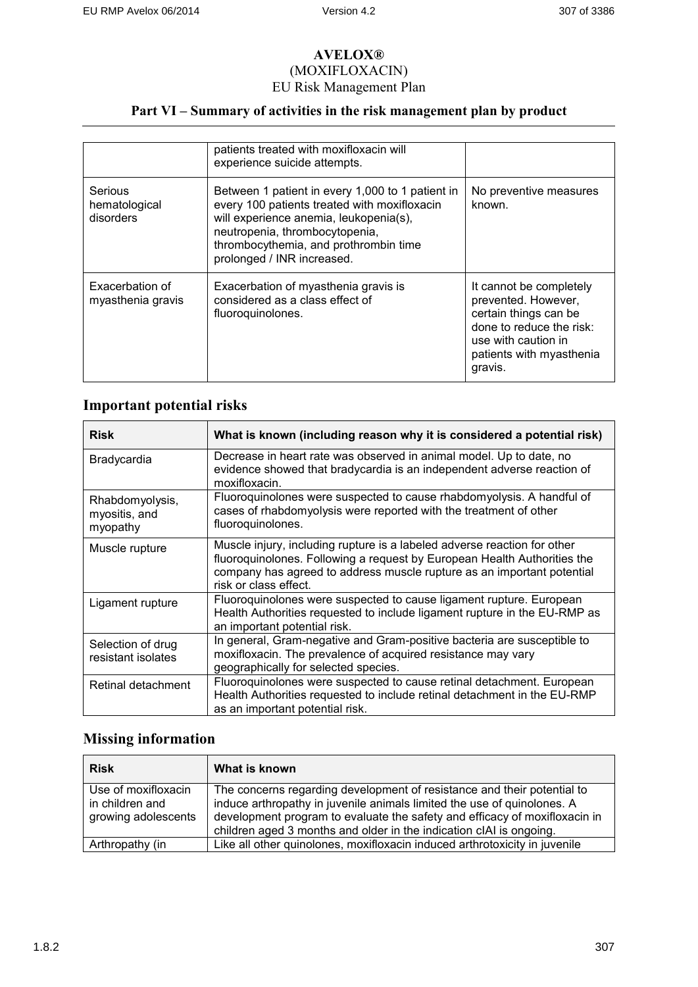## **Part VI – Summary of activities in the risk management plan by product**

|                                       | patients treated with moxifloxacin will<br>experience suicide attempts.                                                                                                                                                                             |                                                                                                                                                                   |
|---------------------------------------|-----------------------------------------------------------------------------------------------------------------------------------------------------------------------------------------------------------------------------------------------------|-------------------------------------------------------------------------------------------------------------------------------------------------------------------|
| Serious<br>hematological<br>disorders | Between 1 patient in every 1,000 to 1 patient in<br>every 100 patients treated with moxifloxacin<br>will experience anemia, leukopenia(s),<br>neutropenia, thrombocytopenia,<br>thrombocythemia, and prothrombin time<br>prolonged / INR increased. | No preventive measures<br>known.                                                                                                                                  |
| Exacerbation of<br>myasthenia gravis  | Exacerbation of myasthenia gravis is<br>considered as a class effect of<br>fluoroquinolones.                                                                                                                                                        | It cannot be completely<br>prevented. However,<br>certain things can be<br>done to reduce the risk:<br>use with caution in<br>patients with myasthenia<br>gravis. |

## **Important potential risks**

| <b>Risk</b>                                  | What is known (including reason why it is considered a potential risk)                                                                                                                                                                                  |
|----------------------------------------------|---------------------------------------------------------------------------------------------------------------------------------------------------------------------------------------------------------------------------------------------------------|
| Bradycardia                                  | Decrease in heart rate was observed in animal model. Up to date, no<br>evidence showed that bradycardia is an independent adverse reaction of<br>moxifloxacin.                                                                                          |
| Rhabdomyolysis,<br>myositis, and<br>myopathy | Fluoroquinolones were suspected to cause rhabdomyolysis. A handful of<br>cases of rhabdomyolysis were reported with the treatment of other<br>fluoroquinolones.                                                                                         |
| Muscle rupture                               | Muscle injury, including rupture is a labeled adverse reaction for other<br>fluoroquinolones. Following a request by European Health Authorities the<br>company has agreed to address muscle rupture as an important potential<br>risk or class effect. |
| Ligament rupture                             | Fluoroquinolones were suspected to cause ligament rupture. European<br>Health Authorities requested to include ligament rupture in the EU-RMP as<br>an important potential risk.                                                                        |
| Selection of drug<br>resistant isolates      | In general, Gram-negative and Gram-positive bacteria are susceptible to<br>moxifloxacin. The prevalence of acquired resistance may vary<br>geographically for selected species.                                                                         |
| Retinal detachment                           | Fluoroquinolones were suspected to cause retinal detachment. European<br>Health Authorities requested to include retinal detachment in the EU-RMP<br>as an important potential risk.                                                                    |

# **Missing information**

| <b>Risk</b>                                                   | What is known                                                                                                                                                                                                                                                                                           |
|---------------------------------------------------------------|---------------------------------------------------------------------------------------------------------------------------------------------------------------------------------------------------------------------------------------------------------------------------------------------------------|
| Use of moxifloxacin<br>in children and<br>growing adolescents | The concerns regarding development of resistance and their potential to<br>induce arthropathy in juvenile animals limited the use of quinolones. A<br>development program to evaluate the safety and efficacy of moxifloxacin in<br>children aged 3 months and older in the indication cIAI is ongoing. |
| Arthropathy (in                                               | Like all other quinolones, moxifloxacin induced arthrotoxicity in juvenile                                                                                                                                                                                                                              |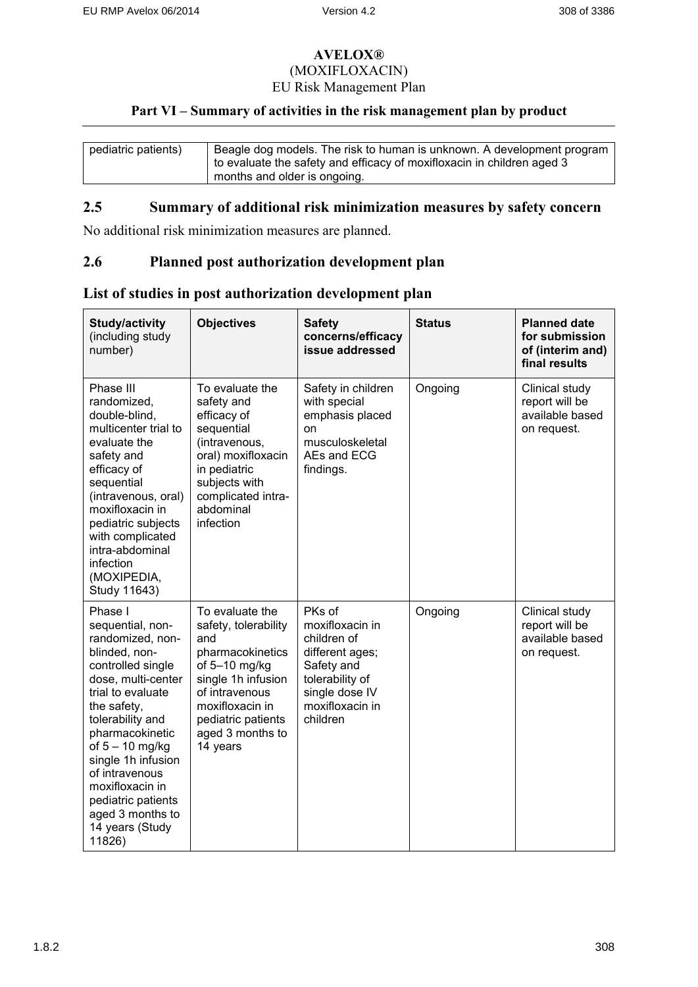### **Part VI – Summary of activities in the risk management plan by product**

| pediatric patients) | Beagle dog models. The risk to human is unknown. A development program |
|---------------------|------------------------------------------------------------------------|
|                     | to evaluate the safety and efficacy of moxifloxacin in children aged 3 |
|                     | months and older is ongoing.                                           |

## **2.5 Summary of additional risk minimization measures by safety concern**

No additional risk minimization measures are planned.

### **2.6 Planned post authorization development plan**

| <b>Study/activity</b><br>(including study<br>number)                                                                                                                                                                                                                                                                                          | <b>Objectives</b>                                                                                                                                                                                    | <b>Safety</b><br>concerns/efficacy<br>issue addressed                                                                                         | <b>Status</b> | <b>Planned date</b><br>for submission<br>of (interim and)<br>final results |
|-----------------------------------------------------------------------------------------------------------------------------------------------------------------------------------------------------------------------------------------------------------------------------------------------------------------------------------------------|------------------------------------------------------------------------------------------------------------------------------------------------------------------------------------------------------|-----------------------------------------------------------------------------------------------------------------------------------------------|---------------|----------------------------------------------------------------------------|
| Phase III<br>randomized,<br>double-blind,<br>multicenter trial to<br>evaluate the<br>safety and<br>efficacy of<br>sequential<br>(intravenous, oral)<br>moxifloxacin in<br>pediatric subjects<br>with complicated<br>intra-abdominal<br>infection<br>(MOXIPEDIA,<br>Study 11643)                                                               | To evaluate the<br>safety and<br>efficacy of<br>sequential<br>(intravenous,<br>oral) moxifloxacin<br>in pediatric<br>subjects with<br>complicated intra-<br>abdominal<br>infection                   | Safety in children<br>with special<br>emphasis placed<br>on<br>musculoskeletal<br>AEs and ECG<br>findings.                                    | Ongoing       | Clinical study<br>report will be<br>available based<br>on request.         |
| Phase I<br>sequential, non-<br>randomized, non-<br>blinded, non-<br>controlled single<br>dose, multi-center<br>trial to evaluate<br>the safety,<br>tolerability and<br>pharmacokinetic<br>of $5 - 10$ mg/kg<br>single 1h infusion<br>of intravenous<br>moxifloxacin in<br>pediatric patients<br>aged 3 months to<br>14 years (Study<br>11826) | To evaluate the<br>safety, tolerability<br>and<br>pharmacokinetics<br>of 5-10 mg/kg<br>single 1h infusion<br>of intravenous<br>moxifloxacin in<br>pediatric patients<br>aged 3 months to<br>14 years | PKs of<br>moxifloxacin in<br>children of<br>different ages;<br>Safety and<br>tolerability of<br>single dose IV<br>moxifloxacin in<br>children | Ongoing       | Clinical study<br>report will be<br>available based<br>on request.         |

## **List of studies in post authorization development plan**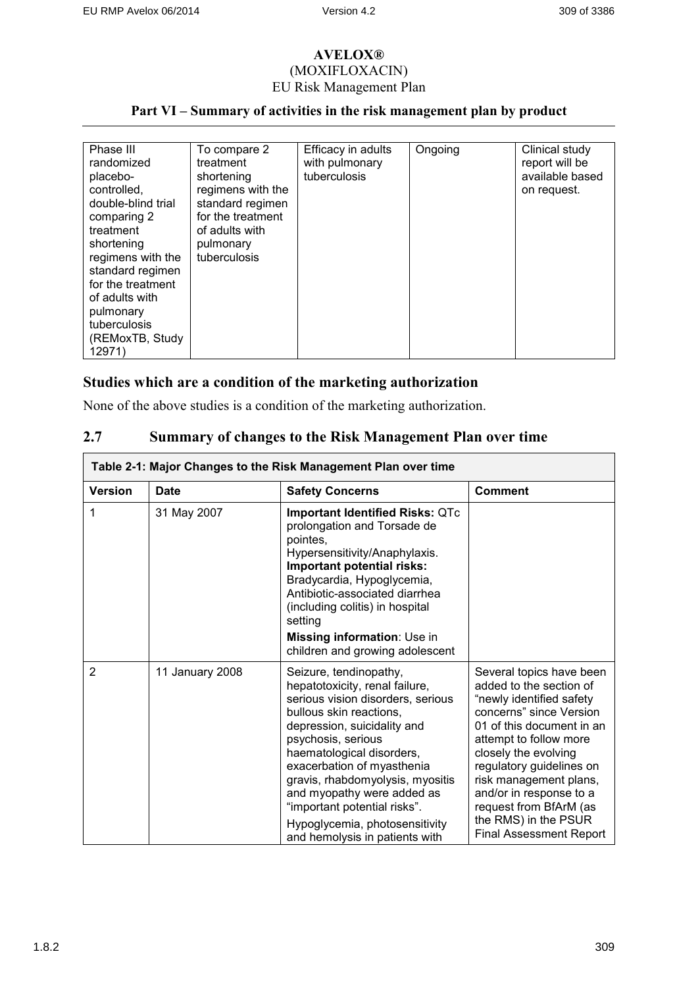# **Part VI – Summary of activities in the risk management plan by product**

| Phase III          | To compare 2      | Efficacy in adults | Ongoing | Clinical study  |
|--------------------|-------------------|--------------------|---------|-----------------|
| randomized         | treatment         | with pulmonary     |         | report will be  |
| placebo-           | shortening        | tuberculosis       |         | available based |
| controlled,        | regimens with the |                    |         | on request.     |
| double-blind trial | standard regimen  |                    |         |                 |
| comparing 2        | for the treatment |                    |         |                 |
| treatment          | of adults with    |                    |         |                 |
| shortening         | pulmonary         |                    |         |                 |
| regimens with the  | tuberculosis      |                    |         |                 |
| standard regimen   |                   |                    |         |                 |
| for the treatment  |                   |                    |         |                 |
| of adults with     |                   |                    |         |                 |
| pulmonary          |                   |                    |         |                 |
| tuberculosis       |                   |                    |         |                 |
| (REMoxTB, Study)   |                   |                    |         |                 |
| 12971)             |                   |                    |         |                 |

# **Studies which are a condition of the marketing authorization**

None of the above studies is a condition of the marketing authorization.

## **2.7 Summary of changes to the Risk Management Plan over time**

| Table 2-1: Major Changes to the Risk Management Plan over time |                 |                                                                                                                                                                                                                                                                                                                                                                                                                |                                                                                                                                                                                                                                                                                                                                                                |  |
|----------------------------------------------------------------|-----------------|----------------------------------------------------------------------------------------------------------------------------------------------------------------------------------------------------------------------------------------------------------------------------------------------------------------------------------------------------------------------------------------------------------------|----------------------------------------------------------------------------------------------------------------------------------------------------------------------------------------------------------------------------------------------------------------------------------------------------------------------------------------------------------------|--|
| <b>Version</b>                                                 | <b>Date</b>     | <b>Safety Concerns</b>                                                                                                                                                                                                                                                                                                                                                                                         | <b>Comment</b>                                                                                                                                                                                                                                                                                                                                                 |  |
| 1                                                              | 31 May 2007     | <b>Important Identified Risks: QTc</b><br>prolongation and Torsade de<br>pointes,<br>Hypersensitivity/Anaphylaxis.<br>Important potential risks:<br>Bradycardia, Hypoglycemia,<br>Antibiotic-associated diarrhea<br>(including colitis) in hospital<br>setting<br>Missing information: Use in<br>children and growing adolescent                                                                               |                                                                                                                                                                                                                                                                                                                                                                |  |
| $\overline{2}$                                                 | 11 January 2008 | Seizure, tendinopathy,<br>hepatotoxicity, renal failure,<br>serious vision disorders, serious<br>bullous skin reactions,<br>depression, suicidality and<br>psychosis, serious<br>haematological disorders,<br>exacerbation of myasthenia<br>gravis, rhabdomyolysis, myositis<br>and myopathy were added as<br>"important potential risks".<br>Hypoglycemia, photosensitivity<br>and hemolysis in patients with | Several topics have been<br>added to the section of<br>"newly identified safety<br>concerns" since Version<br>01 of this document in an<br>attempt to follow more<br>closely the evolving<br>regulatory guidelines on<br>risk management plans,<br>and/or in response to a<br>request from BfArM (as<br>the RMS) in the PSUR<br><b>Final Assessment Report</b> |  |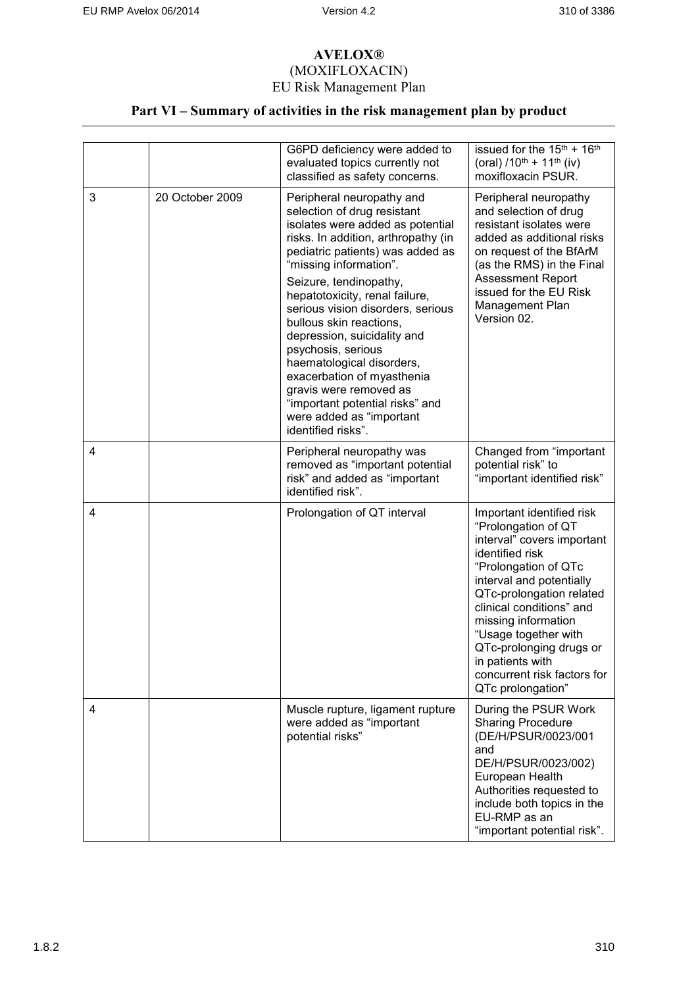# **Part VI – Summary of activities in the risk management plan by product**

|   |                 | G6PD deficiency were added to<br>evaluated topics currently not<br>classified as safety concerns.                                                                                                                                                                                                                                                                                                                                                                                                                                                            | issued for the $15^{th}$ + $16^{th}$<br>(oral) $/10^{th}$ + 11 <sup>th</sup> (iv)<br>moxifloxacin PSUR.                                                                                                                                                                                                                                                         |
|---|-----------------|--------------------------------------------------------------------------------------------------------------------------------------------------------------------------------------------------------------------------------------------------------------------------------------------------------------------------------------------------------------------------------------------------------------------------------------------------------------------------------------------------------------------------------------------------------------|-----------------------------------------------------------------------------------------------------------------------------------------------------------------------------------------------------------------------------------------------------------------------------------------------------------------------------------------------------------------|
| 3 | 20 October 2009 | Peripheral neuropathy and<br>selection of drug resistant<br>isolates were added as potential<br>risks. In addition, arthropathy (in<br>pediatric patients) was added as<br>"missing information".<br>Seizure, tendinopathy,<br>hepatotoxicity, renal failure,<br>serious vision disorders, serious<br>bullous skin reactions,<br>depression, suicidality and<br>psychosis, serious<br>haematological disorders,<br>exacerbation of myasthenia<br>gravis were removed as<br>"important potential risks" and<br>were added as "important<br>identified risks". | Peripheral neuropathy<br>and selection of drug<br>resistant isolates were<br>added as additional risks<br>on request of the BfArM<br>(as the RMS) in the Final<br>Assessment Report<br>issued for the EU Risk<br>Management Plan<br>Version 02.                                                                                                                 |
| 4 |                 | Peripheral neuropathy was<br>removed as "important potential<br>risk" and added as "important<br>identified risk".                                                                                                                                                                                                                                                                                                                                                                                                                                           | Changed from "important<br>potential risk" to<br>"important identified risk"                                                                                                                                                                                                                                                                                    |
| 4 |                 | Prolongation of QT interval                                                                                                                                                                                                                                                                                                                                                                                                                                                                                                                                  | Important identified risk<br>"Prolongation of QT<br>interval" covers important<br>identified risk<br>"Prolongation of QTc<br>interval and potentially<br>QTc-prolongation related<br>clinical conditions" and<br>missing information<br>"Usage together with<br>QTc-prolonging drugs or<br>in patients with<br>concurrent risk factors for<br>QTc prolongation" |
| 4 |                 | Muscle rupture, ligament rupture<br>were added as "important<br>potential risks"                                                                                                                                                                                                                                                                                                                                                                                                                                                                             | During the PSUR Work<br><b>Sharing Procedure</b><br>(DE/H/PSUR/0023/001<br>and<br>DE/H/PSUR/0023/002)<br>European Health<br>Authorities requested to<br>include both topics in the<br>EU-RMP as an<br>"important potential risk".                                                                                                                               |